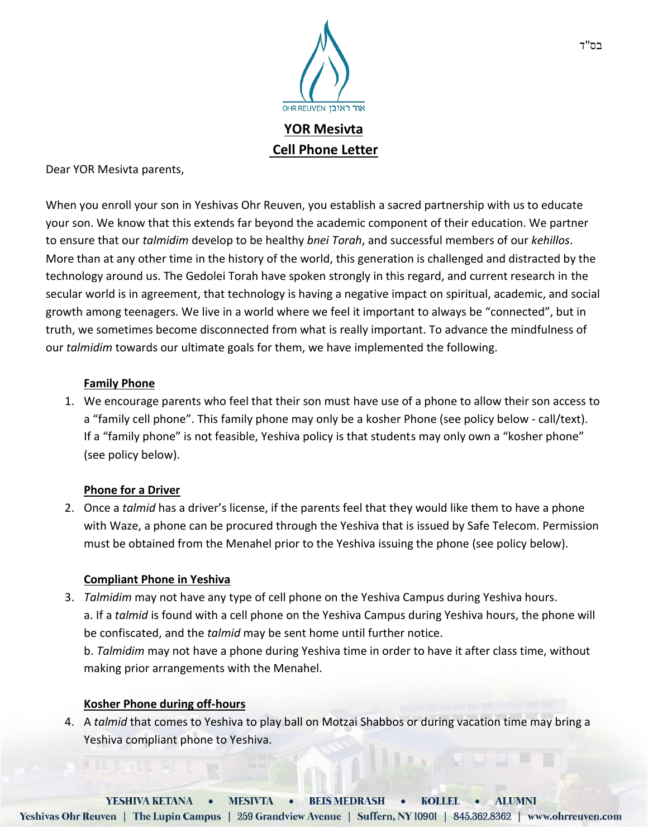

Dear YOR Mesivta parents,

When you enroll your son in Yeshivas Ohr Reuven, you establish a sacred partnership with us to educate your son. We know that this extends far beyond the academic component of their education. We partner to ensure that our *talmidim* develop to be healthy *bnei Torah*, and successful members of our *kehillos*. More than at any other time in the history of the world, this generation is challenged and distracted by the technology around us. The Gedolei Torah have spoken strongly in this regard, and current research in the secular world is in agreement, that technology is having a negative impact on spiritual, academic, and social growth among teenagers. We live in a world where we feel it important to always be "connected", but in truth, we sometimes become disconnected from what is really important. To advance the mindfulness of our *talmidim* towards our ultimate goals for them, we have implemented the following.

## **Family Phone**

1. We encourage parents who feel that their son must have use of a phone to allow their son access to a "family cell phone". This family phone may only be a kosher Phone (see policy below - call/text). If a "family phone" is not feasible, Yeshiva policy is that students may only own a "kosher phone" (see policy below).

### **Phone for a Driver**

2. Once a *talmid* has a driver's license, if the parents feel that they would like them to have a phone with Waze, a phone can be procured through the Yeshiva that is issued by Safe Telecom. Permission must be obtained from the Menahel prior to the Yeshiva issuing the phone (see policy below).

### **Compliant Phone in Yeshiva**

3. *Talmidim* may not have any type of cell phone on the Yeshiva Campus during Yeshiva hours. a. If a *talmid* is found with a cell phone on the Yeshiva Campus during Yeshiva hours, the phone will be confiscated, and the *talmid* may be sent home until further notice. b. *Talmidim* may not have a phone during Yeshiva time in order to have it after class time, without

making prior arrangements with the Menahel.

### **Kosher Phone during off-hours**

4. A *talmid* that comes to Yeshiva to play ball on Motzai Shabbos or during vacation time may bring a Yeshiva compliant phone to Yeshiva.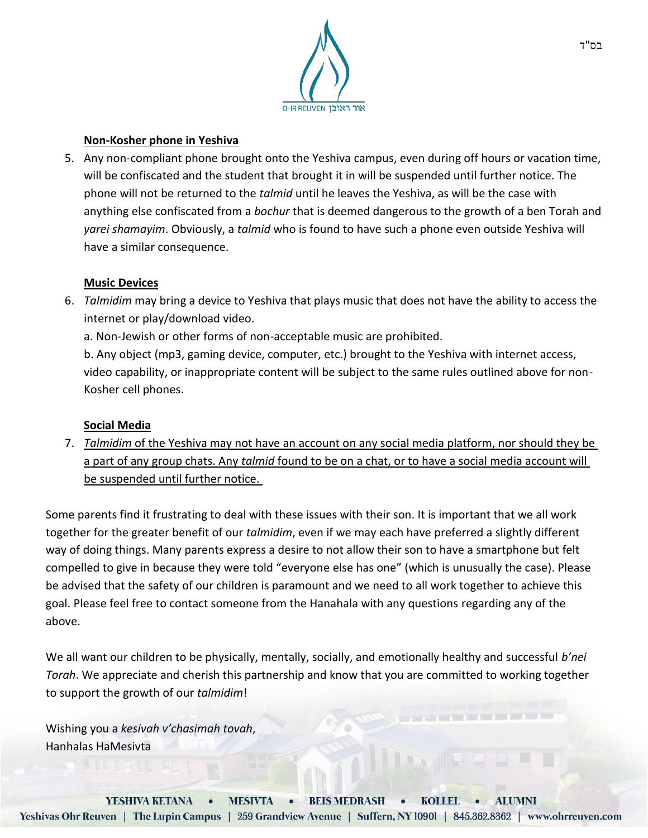

## **Non-Kosher phone in Yeshiva**

5. Any non-compliant phone brought onto the Yeshiva campus, even during off hours or vacation time, will be confiscated and the student that brought it in will be suspended until further notice. The phone will not be returned to the *talmid* until he leaves the Yeshiva, as will be the case with anything else confiscated from a *bochur* that is deemed dangerous to the growth of a ben Torah and *yarei shamayim*. Obviously, a *talmid* who is found to have such a phone even outside Yeshiva will have a similar consequence.

### **Music Devices**

6. *Talmidim* may bring a device to Yeshiva that plays music that does not have the ability to access the internet or play/download video.

a. Non-Jewish or other forms of non-acceptable music are prohibited.

b. Any object (mp3, gaming device, computer, etc.) brought to the Yeshiva with internet access, video capability, or inappropriate content will be subject to the same rules outlined above for non-Kosher cell phones.

# **Social Media**

7. *Talmidim* of the Yeshiva may not have an account on any social media platform, nor should they be a part of any group chats. Any *talmid* found to be on a chat, or to have a social media account will be suspended until further notice.

Some parents find it frustrating to deal with these issues with their son. It is important that we all work together for the greater benefit of our *talmidim*, even if we may each have preferred a slightly different way of doing things. Many parents express a desire to not allow their son to have a smartphone but felt compelled to give in because they were told "everyone else has one" (which is unusually the case). Please be advised that the safety of our children is paramount and we need to all work together to achieve this goal. Please feel free to contact someone from the Hanahala with any questions regarding any of the above.

We all want our children to be physically, mentally, socially, and emotionally healthy and successful *b'nei Torah*. We appreciate and cherish this partnership and know that you are committed to working together to support the growth of our *talmidim*!

Wishing you a *kesivah v'chasimah tovah*, Hanhalas HaMesivta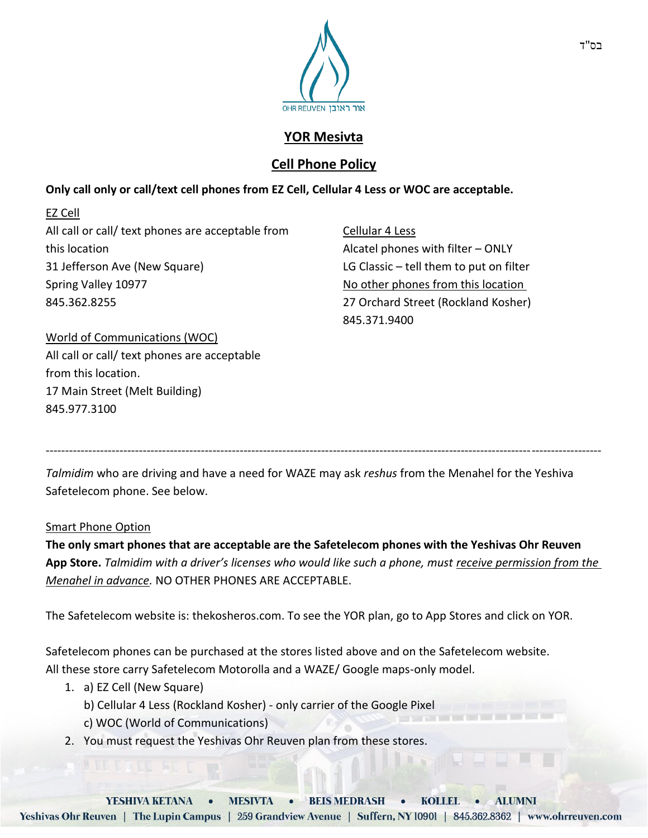

# **YOR Mesivta**

# **Cell Phone Policy**

# **Only call only or call/text cell phones from EZ Cell, Cellular 4 Less or WOC are acceptable.**

EZ Cell All call or call/ text phones are acceptable from this location 31 Jefferson Ave (New Square) Spring Valley 10977 845.362.8255

Cellular 4 Less Alcatel phones with filter – ONLY LG Classic – tell them to put on filter No other phones from this location 27 Orchard Street (Rockland Kosher) 845.371.9400

World of Communications (WOC) All call or call/ text phones are acceptable from this location. 17 Main Street (Melt Building) 845.977.3100

*Talmidim* who are driving and have a need for WAZE may ask *reshus* from the Menahel for the Yeshiva Safetelecom phone. See below.

-----------------------------------------------------------------------------------------------------------------------------------------------

### Smart Phone Option

**The only smart phones that are acceptable are the Safetelecom phones with the Yeshivas Ohr Reuven App Store.** *Talmidim with a driver's licenses who would like such a phone, must receive permission from the Menahel in advance.* NO OTHER PHONES ARE ACCEPTABLE.

The Safetelecom website is: thekosheros.com. To see the YOR plan, go to App Stores and click on YOR.

Safetelecom phones can be purchased at the stores listed above and on the Safetelecom website. All these store carry Safetelecom Motorolla and a WAZE/ Google maps-only model.

- 1. a) EZ Cell (New Square)
	- b) Cellular 4 Less (Rockland Kosher) only carrier of the Google Pixel
	- c) WOC (World of Communications)
- 2. You must request the Yeshivas Ohr Reuven plan from these stores.